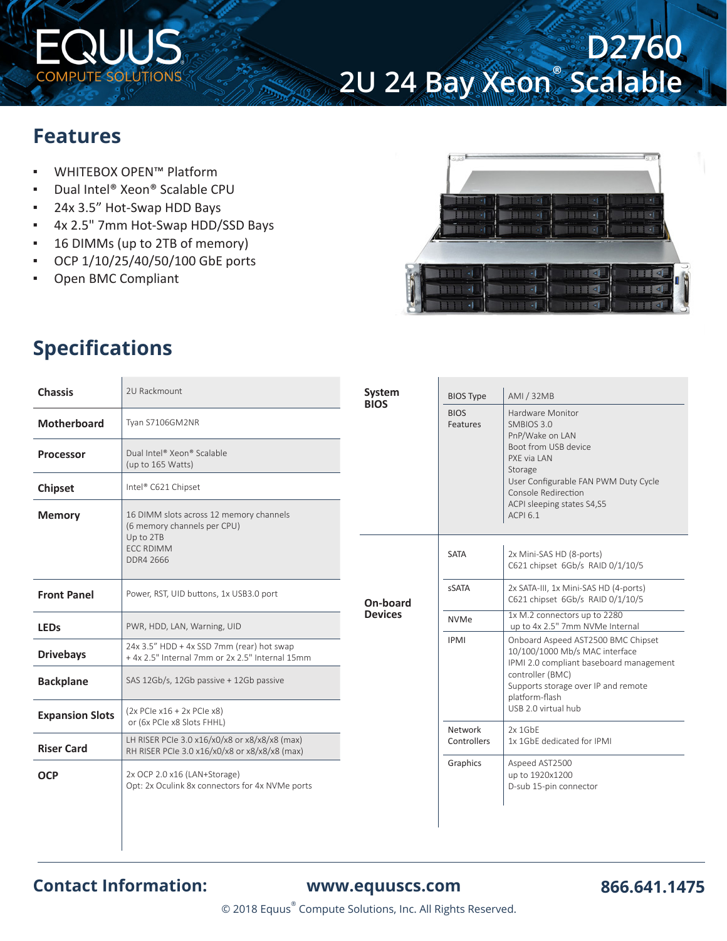

# **D2760 2U 24 Bay Xeon**®  **Scalable**

### **Features**

- WHITEBOX OPEN™ Platform
- Dual Intel® Xeon® Scalable CPU
- 24x 3.5" Hot-Swap HDD Bays
- 4x 2.5" 7mm Hot-Swap HDD/SSD Bays
- 16 DIMMs (up to 2TB of memory)
- OCP 1/10/25/40/50/100 GbE ports
- Open BMC Compliant



## **Specifications**

Ľ

| <b>Chassis</b>         | 2U Rackmount                                                                                   | System<br><b>BIOS</b> | <b>BIOS Type</b>        | AMI / 32MB                                                                                                                                                                 |  |
|------------------------|------------------------------------------------------------------------------------------------|-----------------------|-------------------------|----------------------------------------------------------------------------------------------------------------------------------------------------------------------------|--|
| Motherboard            | Tyan S7106GM2NR                                                                                |                       | <b>BIOS</b><br>Features | Hardware Monitor<br>SMBIOS 3.0<br>PnP/Wake on LAN                                                                                                                          |  |
| <b>Processor</b>       | Dual Intel® Xeon® Scalable<br>(up to 165 Watts)                                                |                       |                         | Boot from USB device<br>PXF via LAN<br>Storage                                                                                                                             |  |
| <b>Chipset</b>         | Intel® C621 Chipset                                                                            |                       |                         | User Configurable FAN PWM Duty Cycle<br>Console Redirection<br>ACPI sleeping states S4,S5<br><b>ACPI 6.1</b>                                                               |  |
| <b>Memory</b>          | 16 DIMM slots across 12 memory channels<br>(6 memory channels per CPU)<br>Up to 2TB            |                       |                         |                                                                                                                                                                            |  |
|                        | <b>ECC RDIMM</b><br>DDR4 2666                                                                  |                       | <b>SATA</b>             | 2x Mini-SAS HD (8-ports)<br>C621 chipset 6Gb/s RAID 0/1/10/5                                                                                                               |  |
| <b>Front Panel</b>     | Power, RST, UID buttons, 1x USB3.0 port                                                        | On-board              | sSATA                   | 2x SATA-III, 1x Mini-SAS HD (4-ports)<br>C621 chipset 6Gb/s RAID 0/1/10/5                                                                                                  |  |
| <b>LEDs</b>            | PWR, HDD, LAN, Warning, UID                                                                    | <b>Devices</b>        | <b>NVMe</b>             | 1x M.2 connectors up to 2280<br>up to 4x 2.5" 7mm NVMe Internal                                                                                                            |  |
| <b>Drivebays</b>       | 24x 3.5" HDD + 4x SSD 7mm (rear) hot swap<br>+4x 2.5" Internal 7mm or 2x 2.5" Internal 15mm    |                       | <b>IPMI</b>             | Onboard Aspeed AST2500 BMC Chipset<br>10/100/1000 Mb/s MAC interface<br>IPMI 2.0 compliant baseboard management<br>controller (BMC)<br>Supports storage over IP and remote |  |
| <b>Backplane</b>       | SAS 12Gb/s, 12Gb passive + 12Gb passive                                                        |                       |                         |                                                                                                                                                                            |  |
| <b>Expansion Slots</b> | $(2x$ PCIe x16 + 2x PCIe x8)<br>or (6x PCIe x8 Slots FHHL)                                     |                       |                         | USB 2.0 virtual hub                                                                                                                                                        |  |
| <b>Riser Card</b>      | LH RISER PCIe 3.0 x16/x0/x8 or x8/x8/x8 (max)<br>RH RISER PCIe 3.0 x16/x0/x8 or x8/x8/x8 (max) |                       | Controllers             | 1x 1GbF dedicated for IPMI                                                                                                                                                 |  |
| <b>OCP</b>             | 2x OCP 2.0 x16 (LAN+Storage)<br>Opt: 2x Oculink 8x connectors for 4x NVMe ports                |                       | Graphics                | Aspeed AST2500<br>up to 1920x1200<br>D-sub 15-pin connector                                                                                                                |  |
|                        |                                                                                                |                       | Network                 | platform-flash<br>$2x$ 1GbF                                                                                                                                                |  |

### **Contact Information: [www.equuscs.com](https://www.equuscs.com)**

© 2018 Equus® Compute Solutions, Inc. All Rights Reserved.